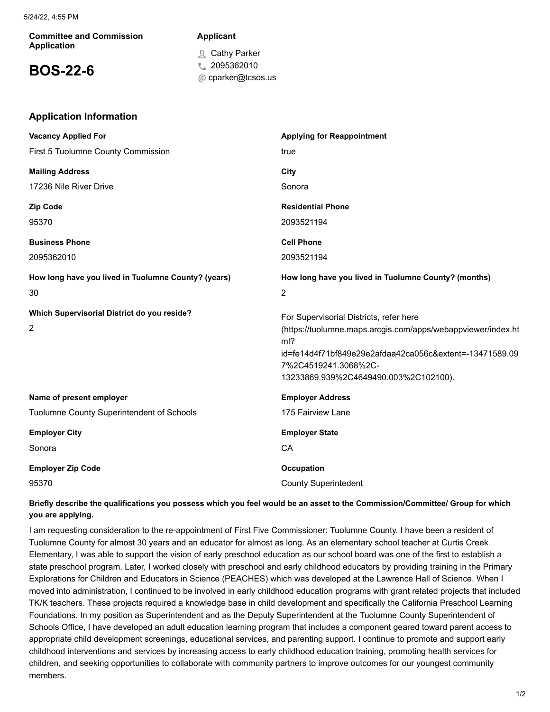#### **Committee and Commission Application**

**Application Information**

# **BOS-22-6**

## **Applicant**

Cathy Parker

- C 2095362010
- cparker@tcsos.us

| <b>Vacancy Applied For</b>                          | <b>Applying for Reappointment</b>                                               |
|-----------------------------------------------------|---------------------------------------------------------------------------------|
| First 5 Tuolumne County Commission                  | true                                                                            |
| <b>Mailing Address</b>                              | City                                                                            |
| 17236 Nile River Drive                              | Sonora                                                                          |
| Zip Code                                            | <b>Residential Phone</b>                                                        |
| 95370                                               | 2093521194                                                                      |
| <b>Business Phone</b>                               | <b>Cell Phone</b>                                                               |
| 2095362010                                          | 2093521194                                                                      |
| How long have you lived in Tuolumne County? (years) | How long have you lived in Tuolumne County? (months)                            |
| 30                                                  | $\overline{2}$                                                                  |
| Which Supervisorial District do you reside?         | For Supervisorial Districts, refer here                                         |
| 2                                                   | (https://tuolumne.maps.arcgis.com/apps/webappviewer/index.ht<br>ml?             |
|                                                     | id=fe14d4f71bf849e29e2afdaa42ca056c&extent=-13471589.09<br>7%2C4519241.3068%2C- |
|                                                     | 13233869.939%2C4649490.003%2C102100).                                           |
| Name of present employer                            | <b>Employer Address</b>                                                         |
| Tuolumne County Superintendent of Schools           | 175 Fairview Lane                                                               |
| <b>Employer City</b>                                | <b>Employer State</b>                                                           |
| Sonora                                              | CA                                                                              |
| <b>Employer Zip Code</b>                            | Occupation                                                                      |
| 95370                                               | <b>County Superintedent</b>                                                     |

## **Briefly describe the qualifications you possess which you feel would be an asset to the Commission/Committee/ Group for which you are applying.**

I am requesting consideration to the re-appointment of First Five Commissioner: Tuolumne County. I have been a resident of Tuolumne County for almost 30 years and an educator for almost as long. As an elementary school teacher at Curtis Creek Elementary, I was able to support the vision of early preschool education as our school board was one of the first to establish a state preschool program. Later, I worked closely with preschool and early childhood educators by providing training in the Primary Explorations for Children and Educators in Science (PEACHES) which was developed at the Lawrence Hall of Science. When I moved into administration, I continued to be involved in early childhood education programs with grant related projects that included TK/K teachers. These projects required a knowledge base in child development and specifically the California Preschool Learning Foundations. In my position as Superintendent and as the Deputy Superintendent at the Tuolumne County Superintendent of Schools Office, I have developed an adult education learning program that includes a component geared toward parent access to appropriate child development screenings, educational services, and parenting support. I continue to promote and support early childhood interventions and services by increasing access to early childhood education training, promoting health services for children, and seeking opportunities to collaborate with community partners to improve outcomes for our youngest community members.